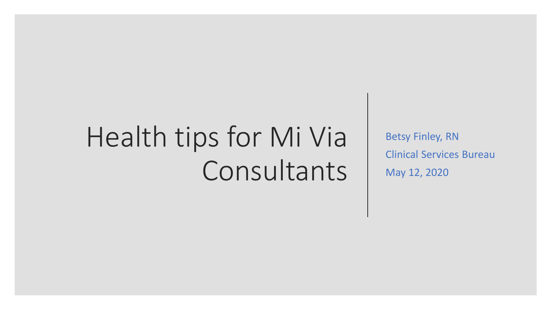# Health tips for Mi Via Consultants

Betsy Finley, RN Clinical Services Bureau May 12, 2020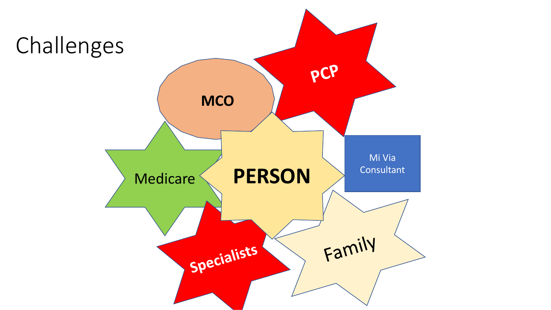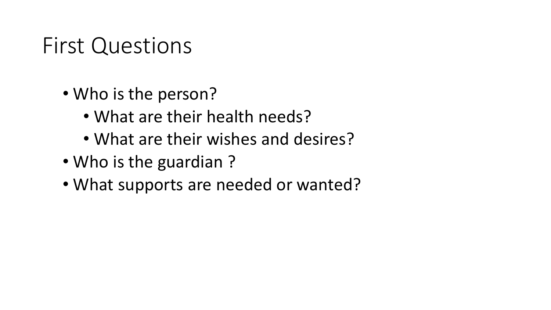## First Questions

- Who is the person?
	- What are their health needs?
	- What are their wishes and desires?
- Who is the guardian ?
- What supports are needed or wanted?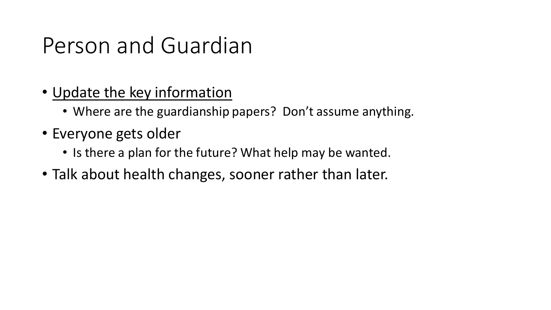# Person and Guardian

- Update the key information
	- Where are the guardianship papers? Don't assume anything.
- Everyone gets older
	- Is there a plan for the future? What help may be wanted.
- Talk about health changes, sooner rather than later.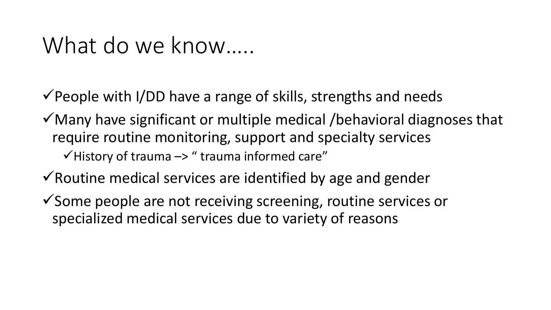## What do we know.....

 $\checkmark$  People with I/DD have a range of skills, strengths and needs

 $\checkmark$  Many have significant or multiple medical /behavioral diagnoses that require routine monitoring, support and specialty services  $\checkmark$  History of trauma  $\checkmark$  are " trauma informed care"

 $\checkmark$  Routine medical services are identified by age and gender

✓Some people are not receiving screening, routine services or specialized medical services due to variety of reasons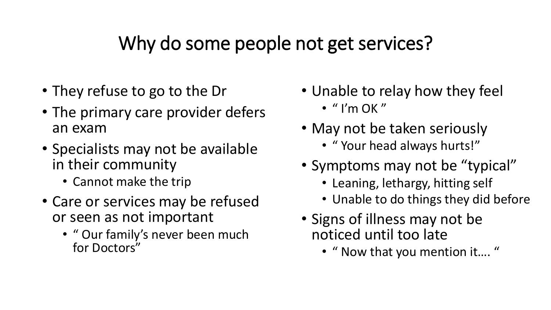#### Why do some people not get services?

- They refuse to go to the Dr
- The primary care provider defers an exam
- Specialists may not be available in their community
	- Cannot make the trip
- Care or services may be refused or seen as not important
	- " Our family's never been much for Doctors"
- Unable to relay how they feel
	- $\cdot$  " I'm OK"
- May not be taken seriously
	- " Your head always hurts!"
- Symptoms may not be "typical"
	- Leaning, lethargy, hitting self
	- Unable to do things they did before
- Signs of illness may not be noticed until too late
	- " Now that you mention it…. "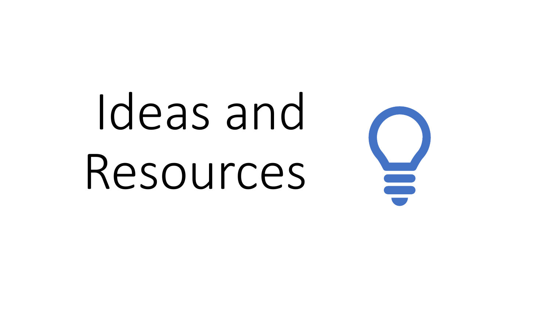# Ideas and Resources

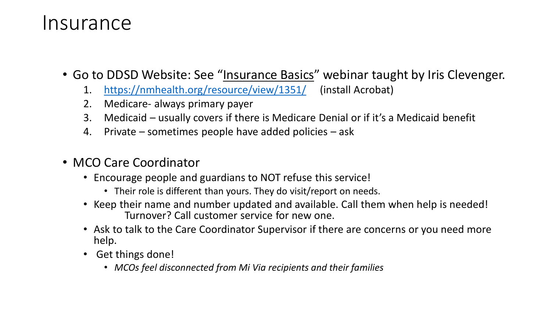#### Insurance

- Go to DDSD Website: See "Insurance Basics" webinar taught by Iris Clevenger.
	- 1. <https://nmhealth.org/resource/view/1351/> (install Acrobat)
	- 2. Medicare- always primary payer
	- 3. Medicaid usually covers if there is Medicare Denial or if it's a Medicaid benefit
	- 4. Private sometimes people have added policies ask
- MCO Care Coordinator
	- Encourage people and guardians to NOT refuse this service!
		- Their role is different than yours. They do visit/report on needs.
	- Keep their name and number updated and available. Call them when help is needed! Turnover? Call customer service for new one.
	- Ask to talk to the Care Coordinator Supervisor if there are concerns or you need more help.
	- Get things done!
		- *MCOs feel disconnected from Mi Via recipients and their families*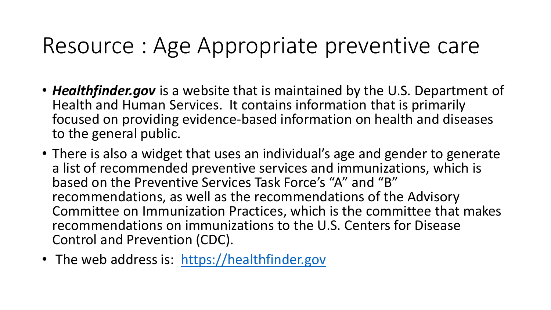## Resource : Age Appropriate preventive care

- *Healthfinder.gov* is a website that is maintained by the U.S. Department of Health and Human Services. It contains information that is primarily focused on providing evidence-based information on health and diseases to the general public.
- There is also a widget that uses an individual's age and gender to generate a list of recommended preventive services and immunizations, which is based on the Preventive Services Task Force's "A" and "B" recommendations, as well as the recommendations of the Advisory Committee on Immunization Practices, which is the committee that makes recommendations on immunizations to the U.S. Centers for Disease Control and Prevention (CDC).
- The web address is: [https://healthfinder.gov](https://healthfinder.gov/)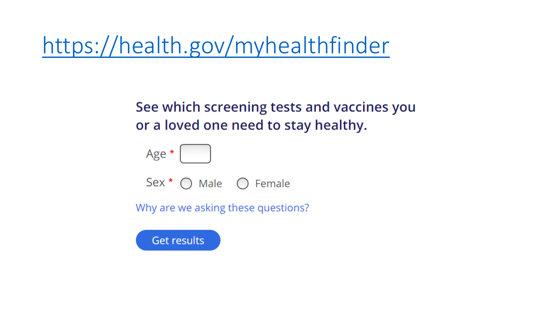# <https://health.gov/myhealthfinder>

#### See which screening tests and vaccines you or a loved one need to stay healthy.

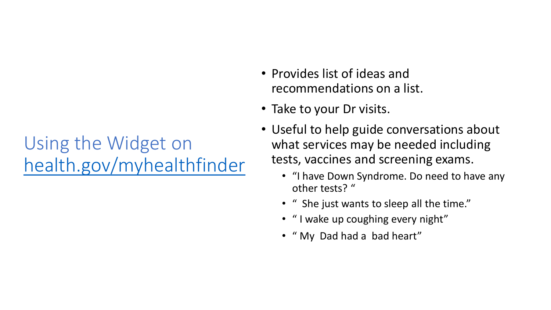### Using the Widget on [health.gov/myhealthfinder](https://health.gov/myhealthfinder)

- Provides list of ideas and recommendations on a list.
- Take to your Dr visits.
- Useful to help guide conversations about what services may be needed including tests, vaccines and screening exams.
	- "I have Down Syndrome. Do need to have any other tests? "
	- " She just wants to sleep all the time."
	- " I wake up coughing every night"
	- " My Dad had a bad heart"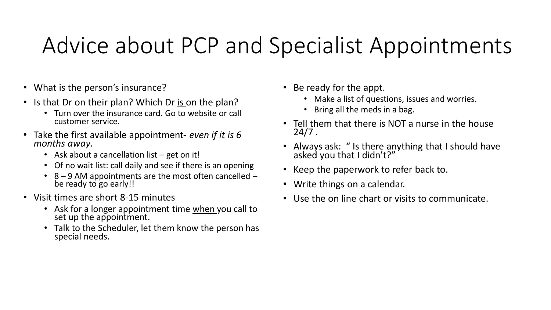# Advice about PCP and Specialist Appointments

- What is the person's insurance?
- Is that Dr on their plan? Which Dr is on the plan?
	- Turn over the insurance card. Go to website or call customer service.
- Take the first available appointment- *even if it is 6 months away*.
	- Ask about a cancellation list get on it!
	- Of no wait list: call daily and see if there is an opening
	- 8 9 AM appointments are the most often cancelled be ready to go early!!
- Visit times are short 8-15 minutes
	- Ask for a longer appointment time when you call to set up the appointment.
	- Talk to the Scheduler, let them know the person has special needs.
- Be ready for the appt.
	- Make a list of questions, issues and worries.
	- Bring all the meds in a bag.
- Tell them that there is NOT a nurse in the house 24/7 .
- Always ask: " Is there anything that I should have asked you that I didn't?"
- Keep the paperwork to refer back to.
- Write things on a calendar.
- Use the on line chart or visits to communicate.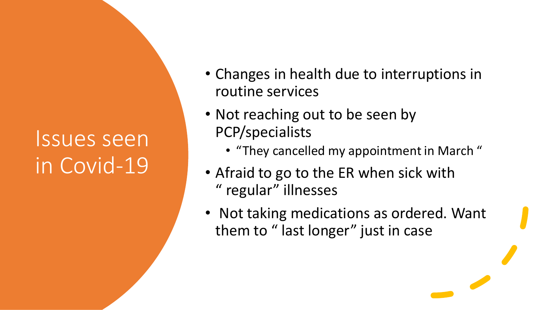# Issues seen in Covid-19

- Changes in health due to interruptions in routine services
- Not reaching out to be seen by PCP/specialists
	- "They cancelled my appointment in March "
- Afraid to go to the ER when sick with " regular" illnesses
- Not taking medications as ordered. Want them to " last longer" just in case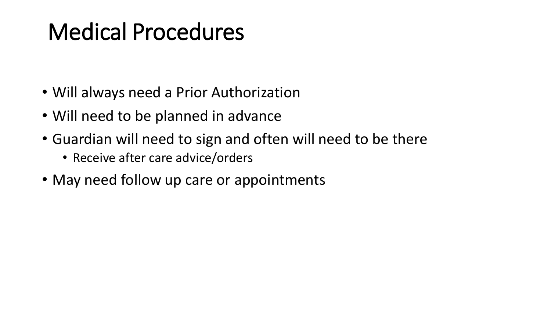# Medical Procedures

- Will always need a Prior Authorization
- Will need to be planned in advance
- Guardian will need to sign and often will need to be there
	- Receive after care advice/orders
- May need follow up care or appointments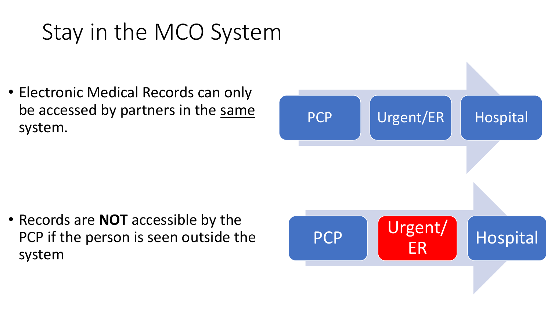# Stay in the MCO System

• Electronic Medical Records can only be accessed by partners in the same system.

• Records are **NOT** accessible by the PCP if the person is seen outside the system

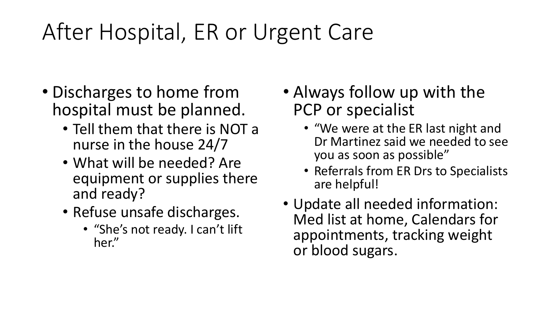# After Hospital, ER or Urgent Care

- Discharges to home from hospital must be planned.
	- Tell them that there is NOT a nurse in the house 24/7
	- What will be needed? Are equipment or supplies there and ready?
	- Refuse unsafe discharges.
		- "She's not ready. I can't lift her."
- Always follow up with the PCP or specialist
	- "We were at the ER last night and Dr Martinez said we needed to see you as soon as possible"
	- Referrals from ER Drs to Specialists are helpful!
- Update all needed information: Med list at home, Calendars for appointments, tracking weight or blood sugars.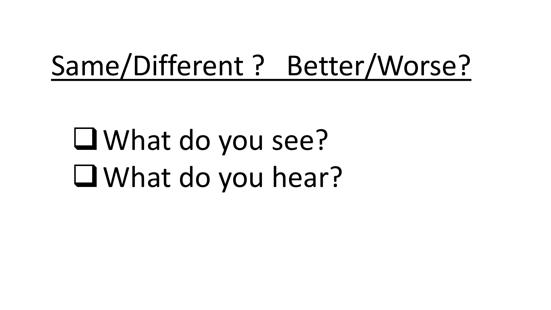# Same/Different ? Better/Worse?

What do you see? What do you hear?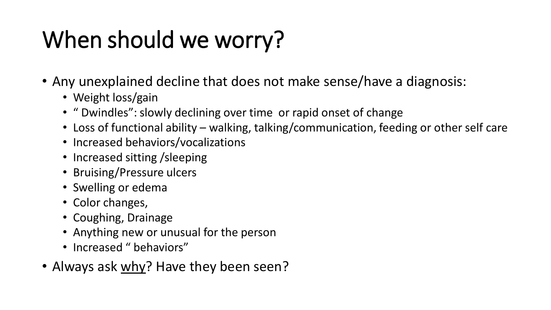# When should we worry?

- Any unexplained decline that does not make sense/have a diagnosis:
	- Weight loss/gain
	- " Dwindles": slowly declining over time or rapid onset of change
	- Loss of functional ability walking, talking/communication, feeding or other self care
	- Increased behaviors/vocalizations
	- Increased sitting / sleeping
	- Bruising/Pressure ulcers
	- Swelling or edema
	- Color changes,
	- Coughing, Drainage
	- Anything new or unusual for the person
	- Increased " behaviors"
- Always ask why? Have they been seen?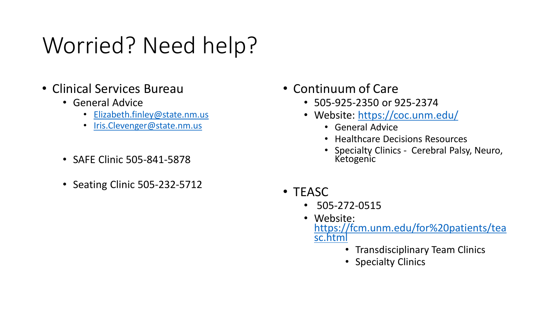# Worried? Need help?

- Clinical Services Bureau
	- General Advice
		- [Elizabeth.finley@state.nm.us](mailto:Elizabeth.finley@state.nm.us)
		- [Iris.Clevenger@state.nm.us](mailto:Iris.Clevenger@state.nm.us)
	- SAFE Clinic 505-841-5878
	- Seating Clinic 505-232-5712
- Continuum of Care
	- 505-925-2350 or 925-2374
	- Website: <https://coc.unm.edu/>
		- General Advice
		- Healthcare Decisions Resources
		- Specialty Clinics Cerebral Palsy, Neuro, Ketogenic
- TEASC
	- 505-272-0515
	- Website: [https://fcm.unm.edu/for%20patients/tea](https://fcm.unm.edu/for patients/teasc.html) sc.html
		- Transdisciplinary Team Clinics
		- Specialty Clinics